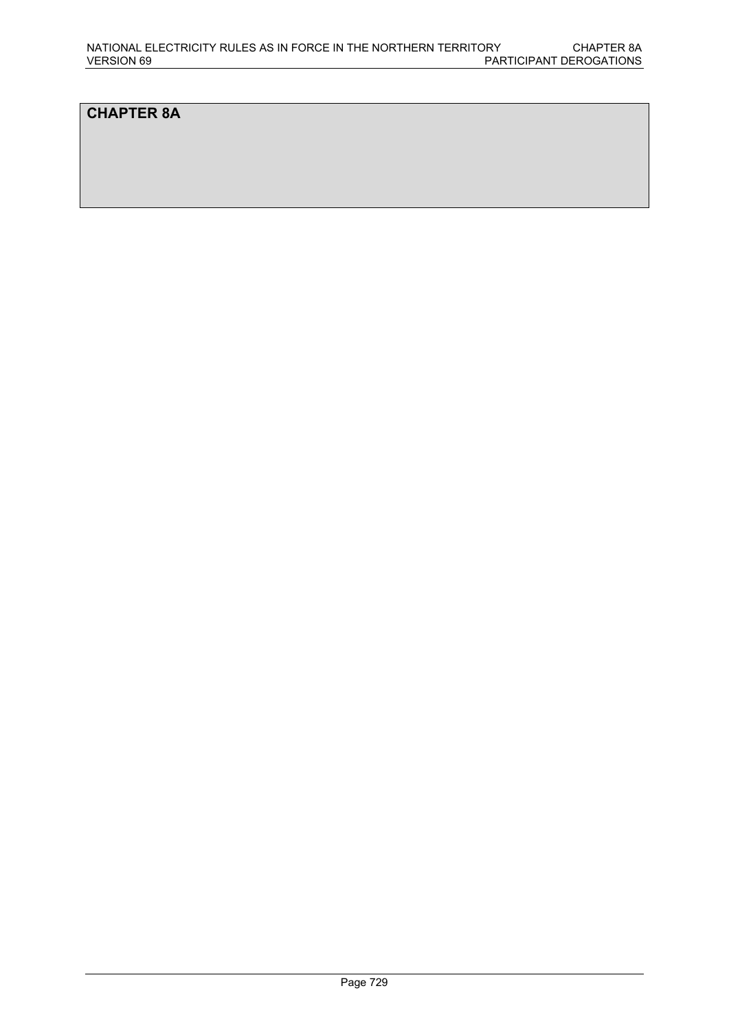## **CHAPTER 8A**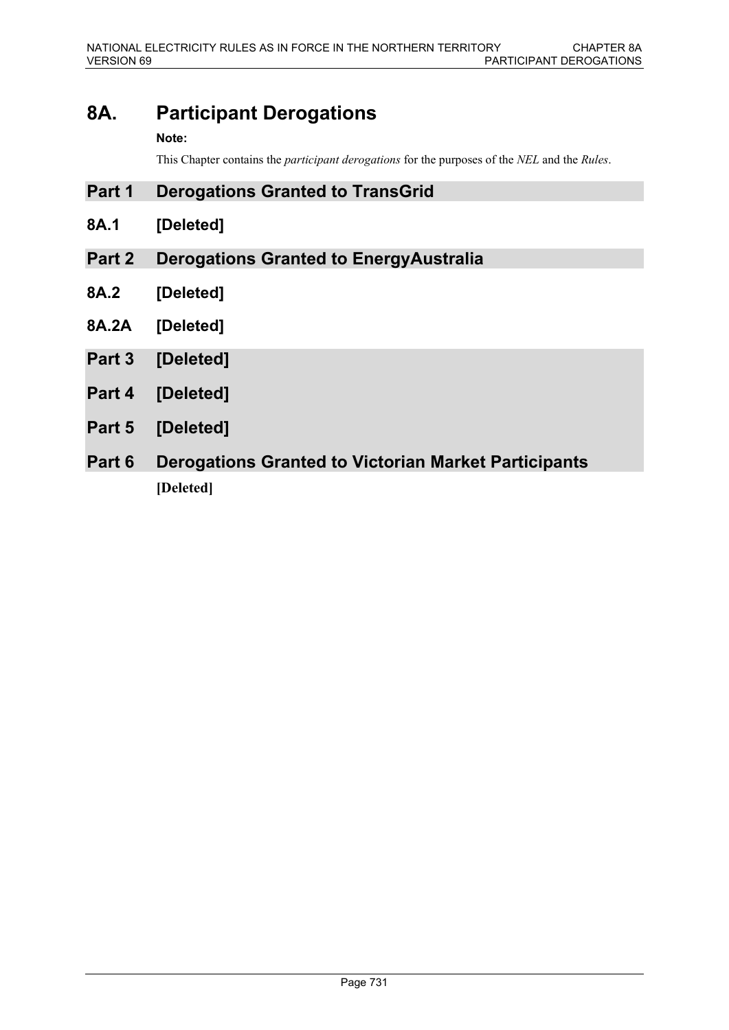# **8A. Participant Derogations**

### **Note:**

This Chapter contains the *participant derogations* for the purposes of the *NEL* and the *Rules*.

- **Part 1 Derogations Granted to TransGrid**
- **8A.1 [Deleted]**
- **Part 2 Derogations Granted to EnergyAustralia**
- **8A.2 [Deleted]**
- **8A.2A [Deleted]**
- **Part 3 [Deleted]**
- **Part 4 [Deleted]**
- **Part 5 [Deleted]**
- **Part 6 Derogations Granted to Victorian Market Participants [Deleted]**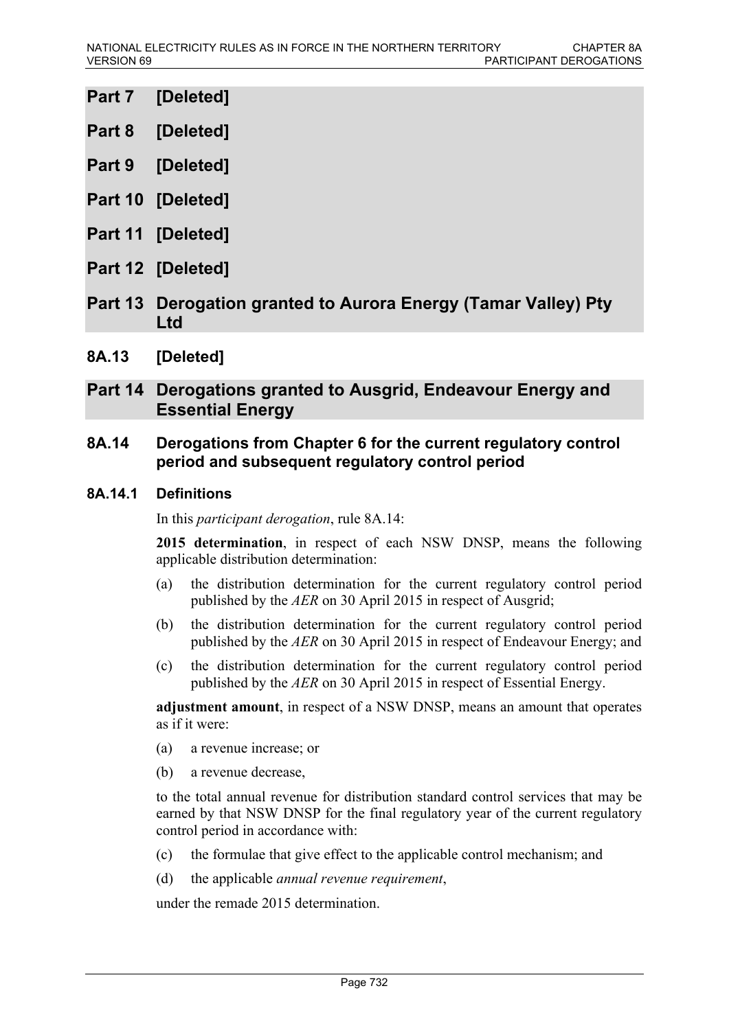- **Part 7 [Deleted]**
- **Part 8 [Deleted]**
- **Part 9 [Deleted]**
- **Part 10 [Deleted]**
- **Part 11 [Deleted]**
- **Part 12 [Deleted]**
- **Part 13 Derogation granted to Aurora Energy (Tamar Valley) Pty Ltd**
- **8A.13 [Deleted]**

## **Part 14 Derogations granted to Ausgrid, Endeavour Energy and Essential Energy**

## **8A.14 Derogations from Chapter 6 for the current regulatory control period and subsequent regulatory control period**

### **8A.14.1 Definitions**

In this *participant derogation*, rule 8A.14:

**2015 determination**, in respect of each NSW DNSP, means the following applicable distribution determination:

- (a) the distribution determination for the current regulatory control period published by the *AER* on 30 April 2015 in respect of Ausgrid;
- (b) the distribution determination for the current regulatory control period published by the *AER* on 30 April 2015 in respect of Endeavour Energy; and
- (c) the distribution determination for the current regulatory control period published by the *AER* on 30 April 2015 in respect of Essential Energy.

**adjustment amount**, in respect of a NSW DNSP, means an amount that operates as if it were:

- (a) a revenue increase; or
- (b) a revenue decrease,

to the total annual revenue for distribution standard control services that may be earned by that NSW DNSP for the final regulatory year of the current regulatory control period in accordance with:

- (c) the formulae that give effect to the applicable control mechanism; and
- (d) the applicable *annual revenue requirement*,

under the remade 2015 determination.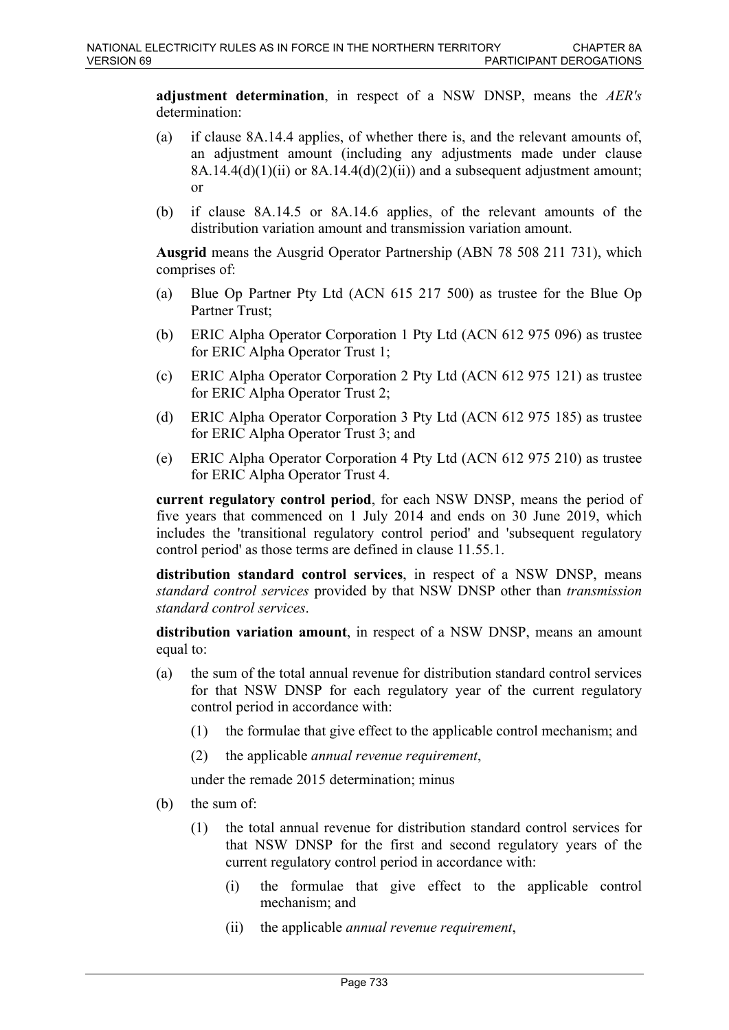**adjustment determination**, in respect of a NSW DNSP, means the *AER's* determination:

- (a) if clause 8A.14.4 applies, of whether there is, and the relevant amounts of, an adjustment amount (including any adjustments made under clause  $8A.14.4(d)(1)(ii)$  or  $8A.14.4(d)(2)(ii)$  and a subsequent adjustment amount; or
- (b) if clause 8A.14.5 or 8A.14.6 applies, of the relevant amounts of the distribution variation amount and transmission variation amount.

**Ausgrid** means the Ausgrid Operator Partnership (ABN 78 508 211 731), which comprises of:

- (a) Blue Op Partner Pty Ltd (ACN 615 217 500) as trustee for the Blue Op Partner Trust;
- (b) ERIC Alpha Operator Corporation 1 Pty Ltd (ACN 612 975 096) as trustee for ERIC Alpha Operator Trust 1;
- (c) ERIC Alpha Operator Corporation 2 Pty Ltd (ACN 612 975 121) as trustee for ERIC Alpha Operator Trust 2;
- (d) ERIC Alpha Operator Corporation 3 Pty Ltd (ACN 612 975 185) as trustee for ERIC Alpha Operator Trust 3; and
- (e) ERIC Alpha Operator Corporation 4 Pty Ltd (ACN 612 975 210) as trustee for ERIC Alpha Operator Trust 4.

**current regulatory control period**, for each NSW DNSP, means the period of five years that commenced on 1 July 2014 and ends on 30 June 2019, which includes the 'transitional regulatory control period' and 'subsequent regulatory control period' as those terms are defined in clause 11.55.1.

**distribution standard control services**, in respect of a NSW DNSP, means *standard control services* provided by that NSW DNSP other than *transmission standard control services*.

**distribution variation amount**, in respect of a NSW DNSP, means an amount equal to:

- (a) the sum of the total annual revenue for distribution standard control services for that NSW DNSP for each regulatory year of the current regulatory control period in accordance with:
	- (1) the formulae that give effect to the applicable control mechanism; and
	- (2) the applicable *annual revenue requirement*,

under the remade 2015 determination; minus

- (b) the sum of:
	- (1) the total annual revenue for distribution standard control services for that NSW DNSP for the first and second regulatory years of the current regulatory control period in accordance with:
		- (i) the formulae that give effect to the applicable control mechanism; and
		- (ii) the applicable *annual revenue requirement*,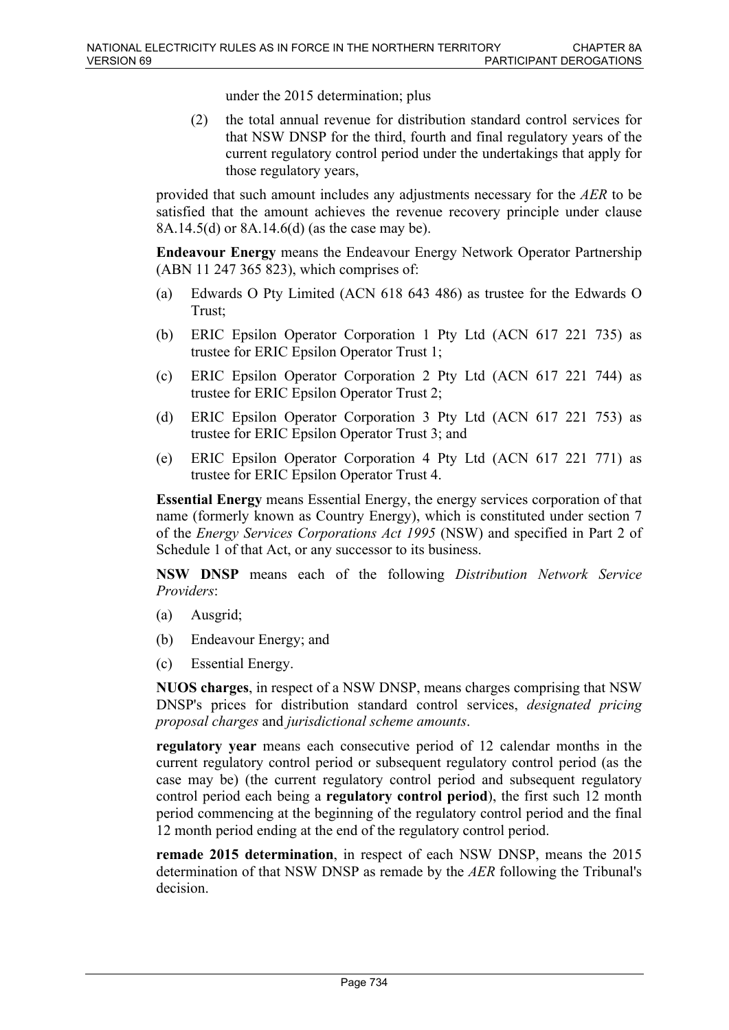under the 2015 determination; plus

(2) the total annual revenue for distribution standard control services for that NSW DNSP for the third, fourth and final regulatory years of the current regulatory control period under the undertakings that apply for those regulatory years,

provided that such amount includes any adjustments necessary for the *AER* to be satisfied that the amount achieves the revenue recovery principle under clause 8A.14.5(d) or 8A.14.6(d) (as the case may be).

**Endeavour Energy** means the Endeavour Energy Network Operator Partnership (ABN 11 247 365 823), which comprises of:

- (a) Edwards O Pty Limited (ACN 618 643 486) as trustee for the Edwards O Trust;
- (b) ERIC Epsilon Operator Corporation 1 Pty Ltd (ACN 617 221 735) as trustee for ERIC Epsilon Operator Trust 1;
- (c) ERIC Epsilon Operator Corporation 2 Pty Ltd (ACN 617 221 744) as trustee for ERIC Epsilon Operator Trust 2;
- (d) ERIC Epsilon Operator Corporation 3 Pty Ltd (ACN 617 221 753) as trustee for ERIC Epsilon Operator Trust 3; and
- (e) ERIC Epsilon Operator Corporation 4 Pty Ltd (ACN 617 221 771) as trustee for ERIC Epsilon Operator Trust 4.

**Essential Energy** means Essential Energy, the energy services corporation of that name (formerly known as Country Energy), which is constituted under section 7 of the *Energy Services Corporations Act 1995* (NSW) and specified in Part 2 of Schedule 1 of that Act, or any successor to its business.

**NSW DNSP** means each of the following *Distribution Network Service Providers*:

- (a) Ausgrid;
- (b) Endeavour Energy; and
- (c) Essential Energy.

**NUOS charges**, in respect of a NSW DNSP, means charges comprising that NSW DNSP's prices for distribution standard control services, *designated pricing proposal charges* and *jurisdictional scheme amounts*.

**regulatory year** means each consecutive period of 12 calendar months in the current regulatory control period or subsequent regulatory control period (as the case may be) (the current regulatory control period and subsequent regulatory control period each being a **regulatory control period**), the first such 12 month period commencing at the beginning of the regulatory control period and the final 12 month period ending at the end of the regulatory control period.

**remade 2015 determination**, in respect of each NSW DNSP, means the 2015 determination of that NSW DNSP as remade by the *AER* following the Tribunal's decision.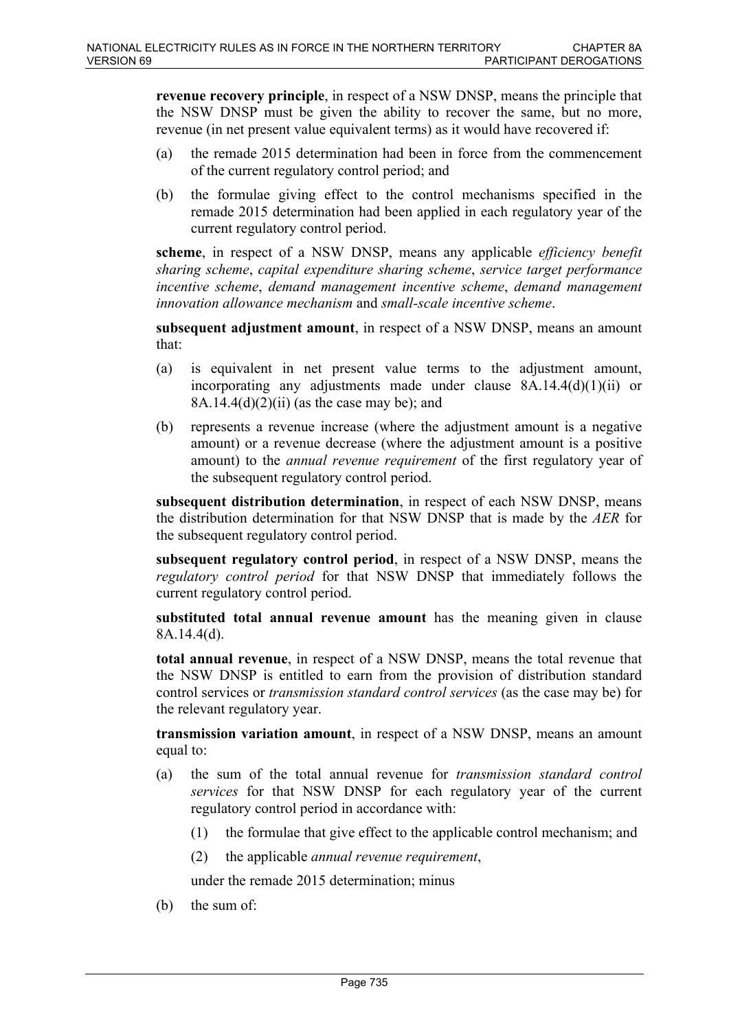**revenue recovery principle**, in respect of a NSW DNSP, means the principle that the NSW DNSP must be given the ability to recover the same, but no more, revenue (in net present value equivalent terms) as it would have recovered if:

- (a) the remade 2015 determination had been in force from the commencement of the current regulatory control period; and
- (b) the formulae giving effect to the control mechanisms specified in the remade 2015 determination had been applied in each regulatory year of the current regulatory control period.

**scheme**, in respect of a NSW DNSP, means any applicable *efficiency benefit sharing scheme*, *capital expenditure sharing scheme*, *service target performance incentive scheme*, *demand management incentive scheme*, *demand management innovation allowance mechanism* and *small-scale incentive scheme*.

**subsequent adjustment amount**, in respect of a NSW DNSP, means an amount that:

- (a) is equivalent in net present value terms to the adjustment amount, incorporating any adjustments made under clause 8A.14.4(d)(1)(ii) or 8A.14.4(d)(2)(ii) (as the case may be); and
- (b) represents a revenue increase (where the adjustment amount is a negative amount) or a revenue decrease (where the adjustment amount is a positive amount) to the *annual revenue requirement* of the first regulatory year of the subsequent regulatory control period.

**subsequent distribution determination**, in respect of each NSW DNSP, means the distribution determination for that NSW DNSP that is made by the *AER* for the subsequent regulatory control period.

**subsequent regulatory control period**, in respect of a NSW DNSP, means the *regulatory control period* for that NSW DNSP that immediately follows the current regulatory control period.

**substituted total annual revenue amount** has the meaning given in clause 8A.14.4(d).

**total annual revenue**, in respect of a NSW DNSP, means the total revenue that the NSW DNSP is entitled to earn from the provision of distribution standard control services or *transmission standard control services* (as the case may be) for the relevant regulatory year.

**transmission variation amount**, in respect of a NSW DNSP, means an amount equal to:

- (a) the sum of the total annual revenue for *transmission standard control services* for that NSW DNSP for each regulatory year of the current regulatory control period in accordance with:
	- (1) the formulae that give effect to the applicable control mechanism; and
	- (2) the applicable *annual revenue requirement*,

under the remade 2015 determination; minus

(b) the sum of: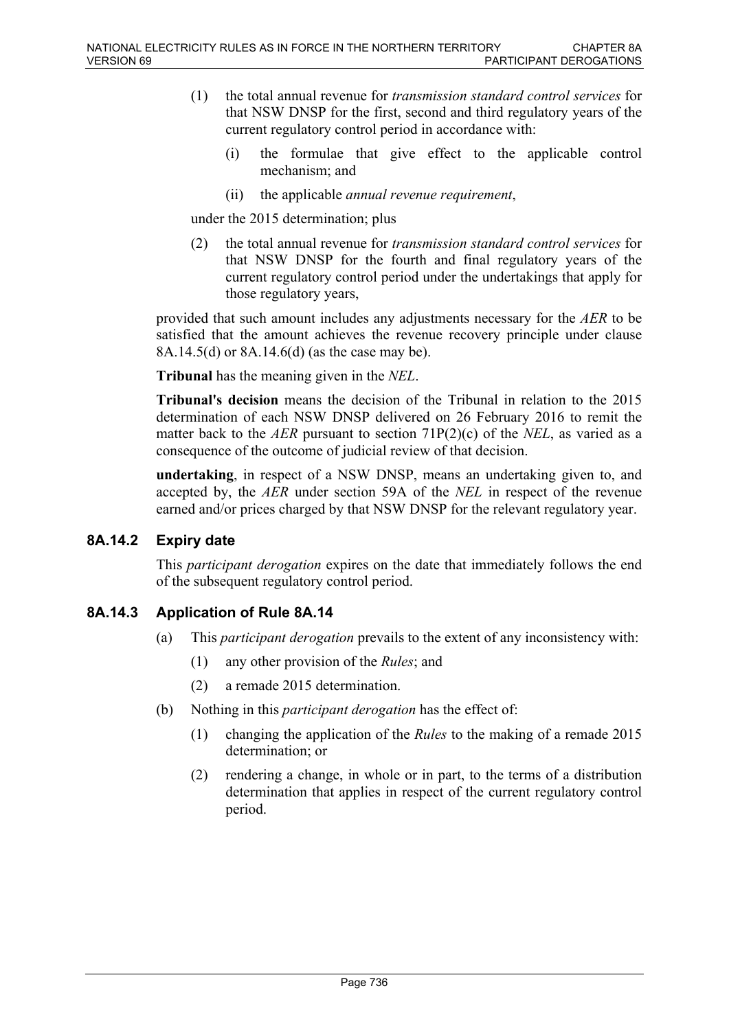- (1) the total annual revenue for *transmission standard control services* for that NSW DNSP for the first, second and third regulatory years of the current regulatory control period in accordance with:
	- (i) the formulae that give effect to the applicable control mechanism; and
	- (ii) the applicable *annual revenue requirement*,

under the 2015 determination; plus

(2) the total annual revenue for *transmission standard control services* for that NSW DNSP for the fourth and final regulatory years of the current regulatory control period under the undertakings that apply for those regulatory years,

provided that such amount includes any adjustments necessary for the *AER* to be satisfied that the amount achieves the revenue recovery principle under clause 8A.14.5(d) or 8A.14.6(d) (as the case may be).

**Tribunal** has the meaning given in the *NEL*.

**Tribunal's decision** means the decision of the Tribunal in relation to the 2015 determination of each NSW DNSP delivered on 26 February 2016 to remit the matter back to the *AER* pursuant to section 71P(2)(c) of the *NEL*, as varied as a consequence of the outcome of judicial review of that decision.

**undertaking**, in respect of a NSW DNSP, means an undertaking given to, and accepted by, the *AER* under section 59A of the *NEL* in respect of the revenue earned and/or prices charged by that NSW DNSP for the relevant regulatory year.

### **8A.14.2 Expiry date**

This *participant derogation* expires on the date that immediately follows the end of the subsequent regulatory control period.

## **8A.14.3 Application of Rule 8A.14**

- (a) This *participant derogation* prevails to the extent of any inconsistency with:
	- (1) any other provision of the *Rules*; and
	- (2) a remade 2015 determination.
- (b) Nothing in this *participant derogation* has the effect of:
	- (1) changing the application of the *Rules* to the making of a remade 2015 determination; or
	- (2) rendering a change, in whole or in part, to the terms of a distribution determination that applies in respect of the current regulatory control period.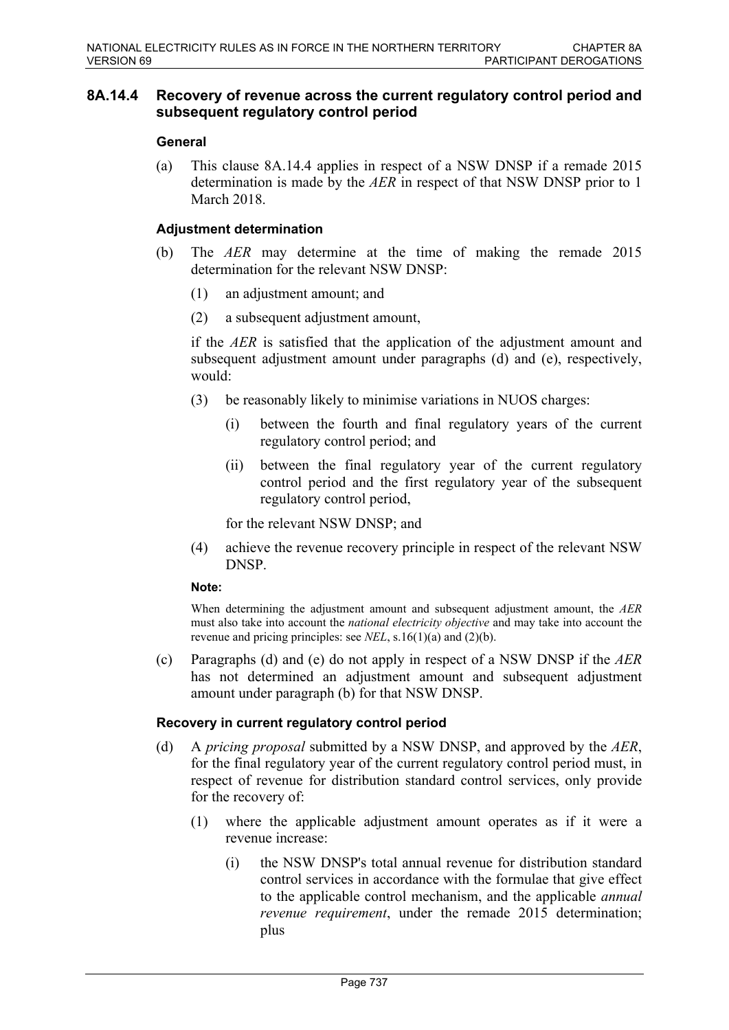### **8A.14.4 Recovery of revenue across the current regulatory control period and subsequent regulatory control period**

### **General**

(a) This clause 8A.14.4 applies in respect of a NSW DNSP if a remade 2015 determination is made by the *AER* in respect of that NSW DNSP prior to 1 March 2018

### **Adjustment determination**

- (b) The *AER* may determine at the time of making the remade 2015 determination for the relevant NSW DNSP:
	- (1) an adjustment amount; and
	- (2) a subsequent adjustment amount,

if the *AER* is satisfied that the application of the adjustment amount and subsequent adjustment amount under paragraphs (d) and (e), respectively, would:

- (3) be reasonably likely to minimise variations in NUOS charges:
	- (i) between the fourth and final regulatory years of the current regulatory control period; and
	- (ii) between the final regulatory year of the current regulatory control period and the first regulatory year of the subsequent regulatory control period,

for the relevant NSW DNSP; and

(4) achieve the revenue recovery principle in respect of the relevant NSW DNSP.

### **Note:**

When determining the adjustment amount and subsequent adjustment amount, the *AER* must also take into account the *national electricity objective* and may take into account the revenue and pricing principles: see *NEL*, s.16(1)(a) and (2)(b).

(c) Paragraphs (d) and (e) do not apply in respect of a NSW DNSP if the *AER* has not determined an adjustment amount and subsequent adjustment amount under paragraph (b) for that NSW DNSP.

### **Recovery in current regulatory control period**

- (d) A *pricing proposal* submitted by a NSW DNSP, and approved by the *AER*, for the final regulatory year of the current regulatory control period must, in respect of revenue for distribution standard control services, only provide for the recovery of:
	- (1) where the applicable adjustment amount operates as if it were a revenue increase:
		- (i) the NSW DNSP's total annual revenue for distribution standard control services in accordance with the formulae that give effect to the applicable control mechanism, and the applicable *annual revenue requirement*, under the remade 2015 determination; plus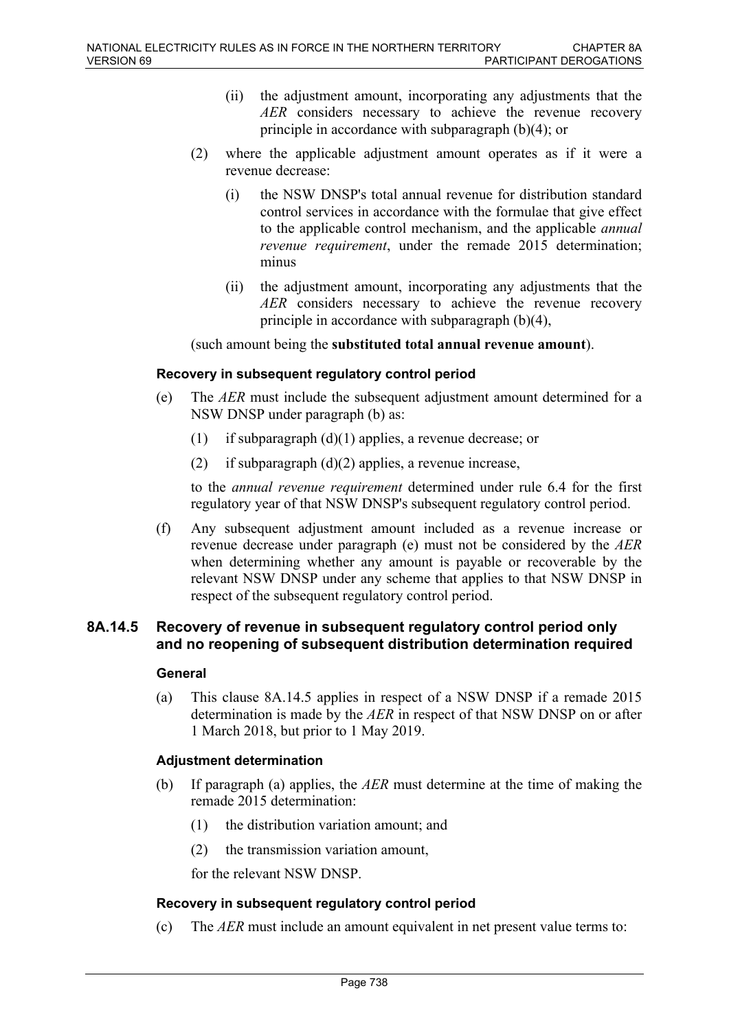- (ii) the adjustment amount, incorporating any adjustments that the *AER* considers necessary to achieve the revenue recovery principle in accordance with subparagraph (b)(4); or
- (2) where the applicable adjustment amount operates as if it were a revenue decrease:
	- (i) the NSW DNSP's total annual revenue for distribution standard control services in accordance with the formulae that give effect to the applicable control mechanism, and the applicable *annual revenue requirement*, under the remade 2015 determination; minus
	- (ii) the adjustment amount, incorporating any adjustments that the *AER* considers necessary to achieve the revenue recovery principle in accordance with subparagraph (b)(4),

(such amount being the **substituted total annual revenue amount**).

### **Recovery in subsequent regulatory control period**

- (e) The *AER* must include the subsequent adjustment amount determined for a NSW DNSP under paragraph (b) as:
	- (1) if subparagraph (d)(1) applies, a revenue decrease; or
	- (2) if subparagraph  $(d)(2)$  applies, a revenue increase,

to the *annual revenue requirement* determined under rule 6.4 for the first regulatory year of that NSW DNSP's subsequent regulatory control period.

(f) Any subsequent adjustment amount included as a revenue increase or revenue decrease under paragraph (e) must not be considered by the *AER* when determining whether any amount is payable or recoverable by the relevant NSW DNSP under any scheme that applies to that NSW DNSP in respect of the subsequent regulatory control period.

### **8A.14.5 Recovery of revenue in subsequent regulatory control period only and no reopening of subsequent distribution determination required**

### **General**

(a) This clause 8A.14.5 applies in respect of a NSW DNSP if a remade 2015 determination is made by the *AER* in respect of that NSW DNSP on or after 1 March 2018, but prior to 1 May 2019.

### **Adjustment determination**

- (b) If paragraph (a) applies, the *AER* must determine at the time of making the remade 2015 determination:
	- (1) the distribution variation amount; and
	- (2) the transmission variation amount,

for the relevant NSW DNSP.

#### **Recovery in subsequent regulatory control period**

(c) The *AER* must include an amount equivalent in net present value terms to: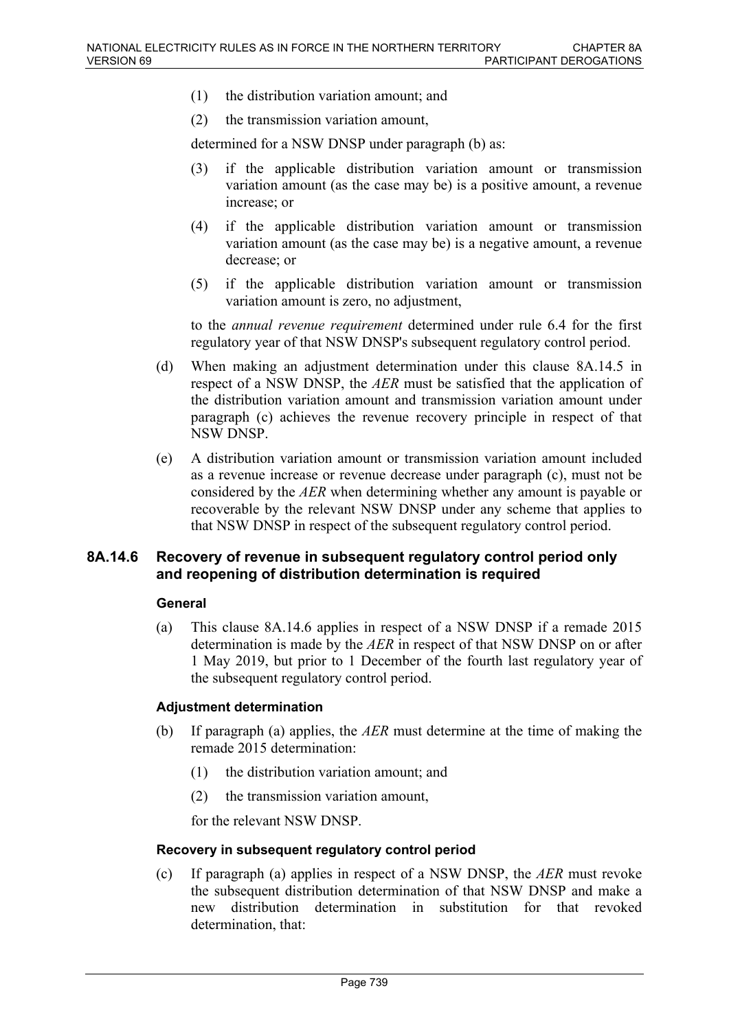- (1) the distribution variation amount; and
- (2) the transmission variation amount,

determined for a NSW DNSP under paragraph (b) as:

- (3) if the applicable distribution variation amount or transmission variation amount (as the case may be) is a positive amount, a revenue increase; or
- (4) if the applicable distribution variation amount or transmission variation amount (as the case may be) is a negative amount, a revenue decrease; or
- (5) if the applicable distribution variation amount or transmission variation amount is zero, no adjustment,

to the *annual revenue requirement* determined under rule 6.4 for the first regulatory year of that NSW DNSP's subsequent regulatory control period.

- (d) When making an adjustment determination under this clause 8A.14.5 in respect of a NSW DNSP, the *AER* must be satisfied that the application of the distribution variation amount and transmission variation amount under paragraph (c) achieves the revenue recovery principle in respect of that NSW DNSP.
- (e) A distribution variation amount or transmission variation amount included as a revenue increase or revenue decrease under paragraph (c), must not be considered by the *AER* when determining whether any amount is payable or recoverable by the relevant NSW DNSP under any scheme that applies to that NSW DNSP in respect of the subsequent regulatory control period.

### **8A.14.6 Recovery of revenue in subsequent regulatory control period only and reopening of distribution determination is required**

#### **General**

(a) This clause 8A.14.6 applies in respect of a NSW DNSP if a remade 2015 determination is made by the *AER* in respect of that NSW DNSP on or after 1 May 2019, but prior to 1 December of the fourth last regulatory year of the subsequent regulatory control period.

### **Adjustment determination**

- (b) If paragraph (a) applies, the *AER* must determine at the time of making the remade 2015 determination:
	- (1) the distribution variation amount; and
	- (2) the transmission variation amount,

for the relevant NSW DNSP.

#### **Recovery in subsequent regulatory control period**

(c) If paragraph (a) applies in respect of a NSW DNSP, the *AER* must revoke the subsequent distribution determination of that NSW DNSP and make a new distribution determination in substitution for that revoked determination, that: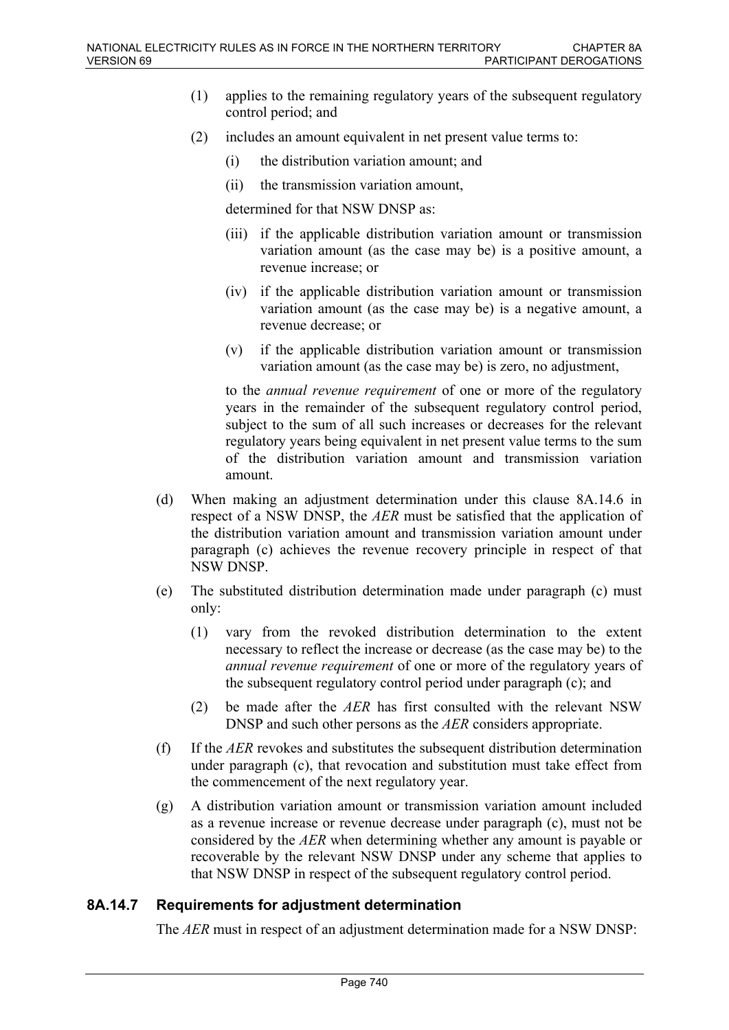- (1) applies to the remaining regulatory years of the subsequent regulatory control period; and
- (2) includes an amount equivalent in net present value terms to:
	- (i) the distribution variation amount; and
	- (ii) the transmission variation amount,

determined for that NSW DNSP as:

- (iii) if the applicable distribution variation amount or transmission variation amount (as the case may be) is a positive amount, a revenue increase; or
- (iv) if the applicable distribution variation amount or transmission variation amount (as the case may be) is a negative amount, a revenue decrease; or
- (v) if the applicable distribution variation amount or transmission variation amount (as the case may be) is zero, no adjustment,

to the *annual revenue requirement* of one or more of the regulatory years in the remainder of the subsequent regulatory control period, subject to the sum of all such increases or decreases for the relevant regulatory years being equivalent in net present value terms to the sum of the distribution variation amount and transmission variation amount.

- (d) When making an adjustment determination under this clause 8A.14.6 in respect of a NSW DNSP, the *AER* must be satisfied that the application of the distribution variation amount and transmission variation amount under paragraph (c) achieves the revenue recovery principle in respect of that NSW DNSP.
- (e) The substituted distribution determination made under paragraph (c) must only:
	- (1) vary from the revoked distribution determination to the extent necessary to reflect the increase or decrease (as the case may be) to the *annual revenue requirement* of one or more of the regulatory years of the subsequent regulatory control period under paragraph (c); and
	- (2) be made after the *AER* has first consulted with the relevant NSW DNSP and such other persons as the *AER* considers appropriate.
- (f) If the *AER* revokes and substitutes the subsequent distribution determination under paragraph (c), that revocation and substitution must take effect from the commencement of the next regulatory year.
- (g) A distribution variation amount or transmission variation amount included as a revenue increase or revenue decrease under paragraph (c), must not be considered by the *AER* when determining whether any amount is payable or recoverable by the relevant NSW DNSP under any scheme that applies to that NSW DNSP in respect of the subsequent regulatory control period.

### **8A.14.7 Requirements for adjustment determination**

The *AER* must in respect of an adjustment determination made for a NSW DNSP: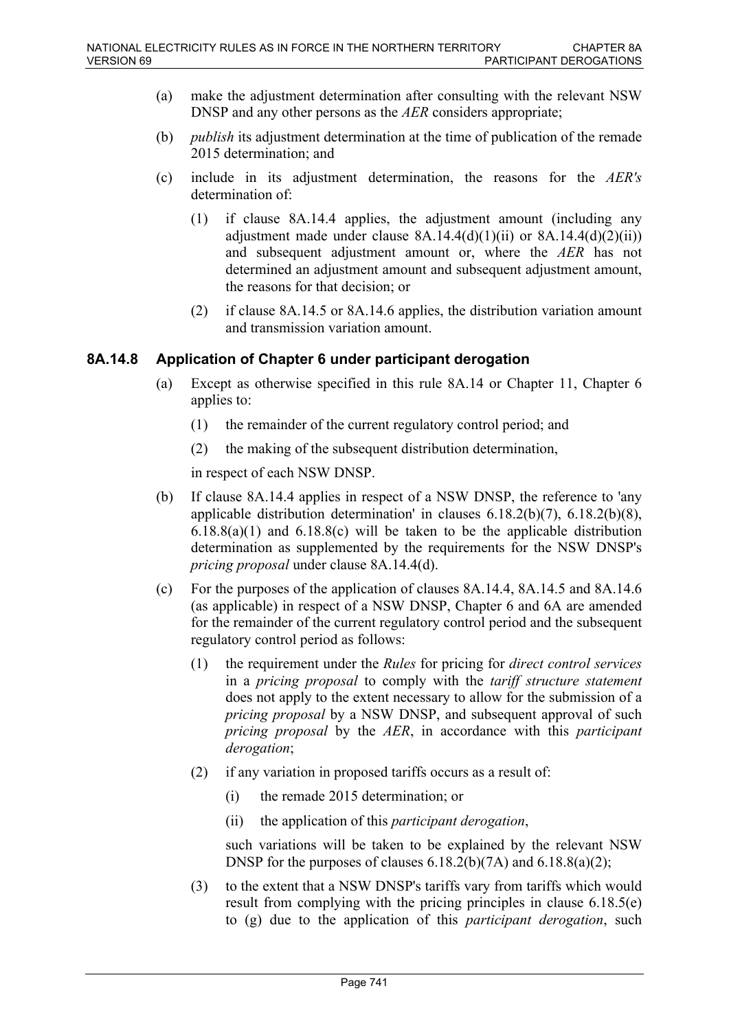- (a) make the adjustment determination after consulting with the relevant NSW DNSP and any other persons as the *AER* considers appropriate;
- (b) *publish* its adjustment determination at the time of publication of the remade 2015 determination; and
- (c) include in its adjustment determination, the reasons for the *AER's* determination of:
	- (1) if clause 8A.14.4 applies, the adjustment amount (including any adjustment made under clause  $8A.14.4(d)(1)(ii)$  or  $8A.14.4(d)(2)(ii)$ ) and subsequent adjustment amount or, where the *AER* has not determined an adjustment amount and subsequent adjustment amount, the reasons for that decision; or
	- (2) if clause 8A.14.5 or 8A.14.6 applies, the distribution variation amount and transmission variation amount.

### **8A.14.8 Application of Chapter 6 under participant derogation**

- (a) Except as otherwise specified in this rule 8A.14 or Chapter 11, Chapter 6 applies to:
	- (1) the remainder of the current regulatory control period; and
	- (2) the making of the subsequent distribution determination,

in respect of each NSW DNSP.

- (b) If clause 8A.14.4 applies in respect of a NSW DNSP, the reference to 'any applicable distribution determination' in clauses  $6.18.2(b)(7)$ ,  $6.18.2(b)(8)$ , 6.18.8(a)(1) and 6.18.8(c) will be taken to be the applicable distribution determination as supplemented by the requirements for the NSW DNSP's *pricing proposal* under clause 8A.14.4(d).
- (c) For the purposes of the application of clauses 8A.14.4, 8A.14.5 and 8A.14.6 (as applicable) in respect of a NSW DNSP, Chapter 6 and 6A are amended for the remainder of the current regulatory control period and the subsequent regulatory control period as follows:
	- (1) the requirement under the *Rules* for pricing for *direct control services* in a *pricing proposal* to comply with the *tariff structure statement*  does not apply to the extent necessary to allow for the submission of a *pricing proposal* by a NSW DNSP, and subsequent approval of such *pricing proposal* by the *AER*, in accordance with this *participant derogation*;
	- (2) if any variation in proposed tariffs occurs as a result of:
		- (i) the remade 2015 determination; or
		- (ii) the application of this *participant derogation*,

such variations will be taken to be explained by the relevant NSW DNSP for the purposes of clauses 6.18.2(b)(7A) and 6.18.8(a)(2);

(3) to the extent that a NSW DNSP's tariffs vary from tariffs which would result from complying with the pricing principles in clause 6.18.5(e) to (g) due to the application of this *participant derogation*, such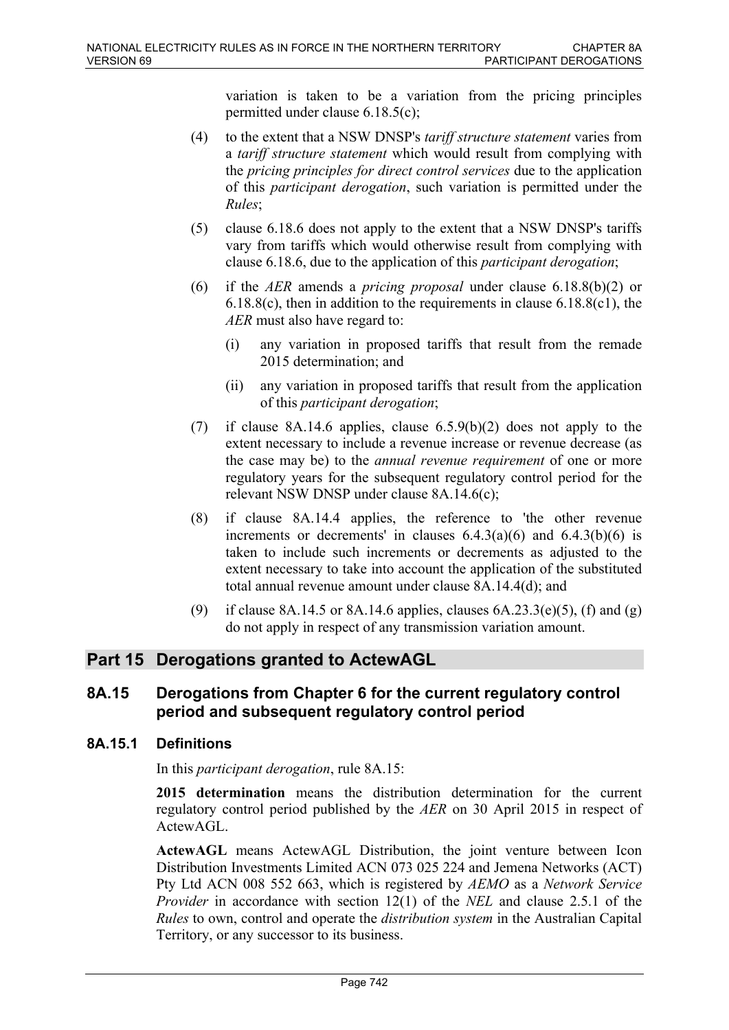variation is taken to be a variation from the pricing principles permitted under clause 6.18.5(c);

- (4) to the extent that a NSW DNSP's *tariff structure statement* varies from a *tariff structure statement* which would result from complying with the *pricing principles for direct control services* due to the application of this *participant derogation*, such variation is permitted under the *Rules*;
- (5) clause 6.18.6 does not apply to the extent that a NSW DNSP's tariffs vary from tariffs which would otherwise result from complying with clause 6.18.6, due to the application of this *participant derogation*;
- (6) if the *AER* amends a *pricing proposal* under clause 6.18.8(b)(2) or 6.18.8(c), then in addition to the requirements in clause 6.18.8(c1), the *AER* must also have regard to:
	- (i) any variation in proposed tariffs that result from the remade 2015 determination; and
	- (ii) any variation in proposed tariffs that result from the application of this *participant derogation*;
- (7) if clause 8A.14.6 applies, clause  $6.5.9(b)(2)$  does not apply to the extent necessary to include a revenue increase or revenue decrease (as the case may be) to the *annual revenue requirement* of one or more regulatory years for the subsequent regulatory control period for the relevant NSW DNSP under clause 8A.14.6(c);
- (8) if clause 8A.14.4 applies, the reference to 'the other revenue increments or decrements' in clauses  $6.4.3(a)(6)$  and  $6.4.3(b)(6)$  is taken to include such increments or decrements as adjusted to the extent necessary to take into account the application of the substituted total annual revenue amount under clause 8A.14.4(d); and
- (9) if clause 8A.14.5 or 8A.14.6 applies, clauses  $6A.23.3(e)(5)$ , (f) and (g) do not apply in respect of any transmission variation amount.

## **Part 15 Derogations granted to ActewAGL**

## **8A.15 Derogations from Chapter 6 for the current regulatory control period and subsequent regulatory control period**

## **8A.15.1 Definitions**

In this *participant derogation*, rule 8A.15:

**2015 determination** means the distribution determination for the current regulatory control period published by the *AER* on 30 April 2015 in respect of ActewAGL.

**ActewAGL** means ActewAGL Distribution, the joint venture between Icon Distribution Investments Limited ACN 073 025 224 and Jemena Networks (ACT) Pty Ltd ACN 008 552 663, which is registered by *AEMO* as a *Network Service Provider* in accordance with section 12(1) of the *NEL* and clause 2.5.1 of the *Rules* to own, control and operate the *distribution system* in the Australian Capital Territory, or any successor to its business.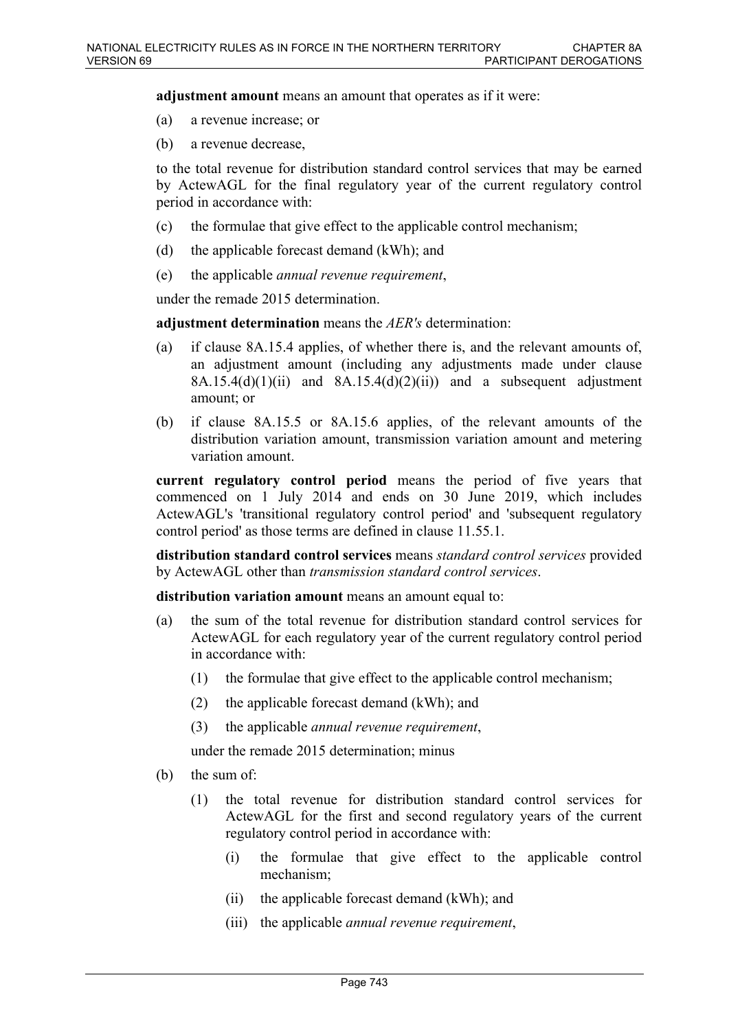**adjustment amount** means an amount that operates as if it were:

- (a) a revenue increase; or
- (b) a revenue decrease,

to the total revenue for distribution standard control services that may be earned by ActewAGL for the final regulatory year of the current regulatory control period in accordance with:

- (c) the formulae that give effect to the applicable control mechanism;
- (d) the applicable forecast demand (kWh); and
- (e) the applicable *annual revenue requirement*,

under the remade 2015 determination.

**adjustment determination** means the *AER's* determination:

- (a) if clause 8A.15.4 applies, of whether there is, and the relevant amounts of, an adjustment amount (including any adjustments made under clause  $8A.15.4(d)(1)(ii)$  and  $8A.15.4(d)(2)(ii)$  and a subsequent adjustment amount; or
- (b) if clause 8A.15.5 or 8A.15.6 applies, of the relevant amounts of the distribution variation amount, transmission variation amount and metering variation amount.

**current regulatory control period** means the period of five years that commenced on 1 July 2014 and ends on 30 June 2019, which includes ActewAGL's 'transitional regulatory control period' and 'subsequent regulatory control period' as those terms are defined in clause 11.55.1.

**distribution standard control services** means *standard control services* provided by ActewAGL other than *transmission standard control services*.

**distribution variation amount** means an amount equal to:

- (a) the sum of the total revenue for distribution standard control services for ActewAGL for each regulatory year of the current regulatory control period in accordance with:
	- (1) the formulae that give effect to the applicable control mechanism;
	- (2) the applicable forecast demand (kWh); and
	- (3) the applicable *annual revenue requirement*,

under the remade 2015 determination; minus

- (b) the sum of:
	- (1) the total revenue for distribution standard control services for ActewAGL for the first and second regulatory years of the current regulatory control period in accordance with:
		- (i) the formulae that give effect to the applicable control mechanism;
		- (ii) the applicable forecast demand (kWh); and
		- (iii) the applicable *annual revenue requirement*,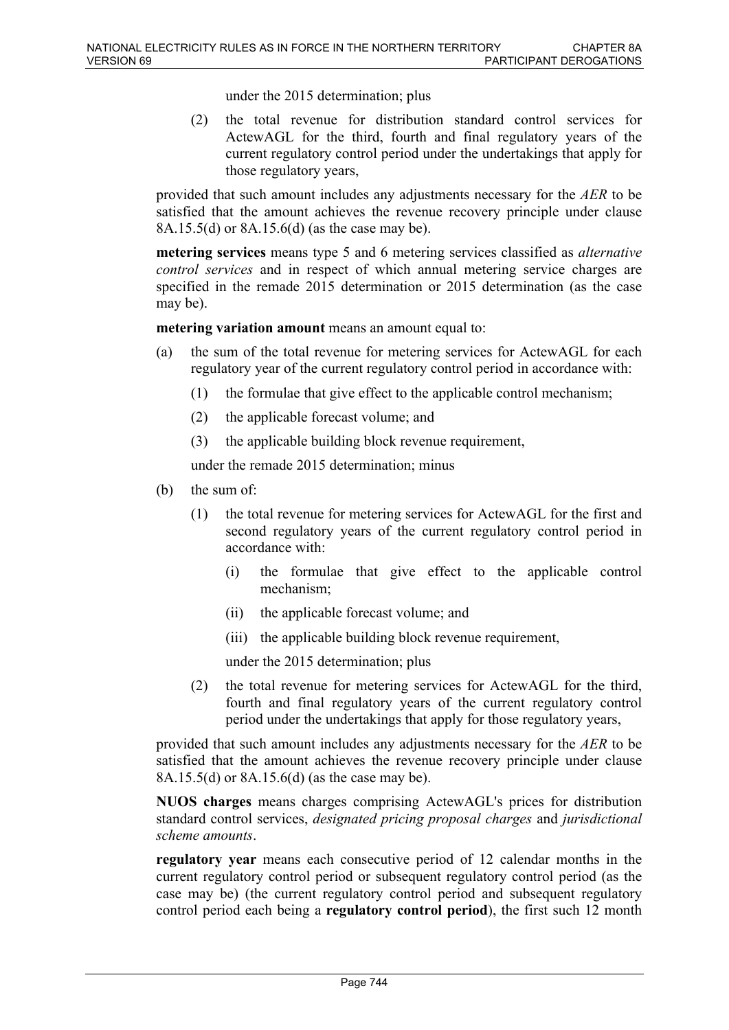under the 2015 determination; plus

(2) the total revenue for distribution standard control services for ActewAGL for the third, fourth and final regulatory years of the current regulatory control period under the undertakings that apply for those regulatory years,

provided that such amount includes any adjustments necessary for the *AER* to be satisfied that the amount achieves the revenue recovery principle under clause 8A.15.5(d) or 8A.15.6(d) (as the case may be).

**metering services** means type 5 and 6 metering services classified as *alternative control services* and in respect of which annual metering service charges are specified in the remade 2015 determination or 2015 determination (as the case may be).

**metering variation amount** means an amount equal to:

- (a) the sum of the total revenue for metering services for ActewAGL for each regulatory year of the current regulatory control period in accordance with:
	- (1) the formulae that give effect to the applicable control mechanism;
	- (2) the applicable forecast volume; and
	- (3) the applicable building block revenue requirement,

under the remade 2015 determination; minus

- (b) the sum of:
	- (1) the total revenue for metering services for ActewAGL for the first and second regulatory years of the current regulatory control period in accordance with:
		- (i) the formulae that give effect to the applicable control mechanism;
		- (ii) the applicable forecast volume; and
		- (iii) the applicable building block revenue requirement,

under the 2015 determination; plus

(2) the total revenue for metering services for ActewAGL for the third, fourth and final regulatory years of the current regulatory control period under the undertakings that apply for those regulatory years,

provided that such amount includes any adjustments necessary for the *AER* to be satisfied that the amount achieves the revenue recovery principle under clause 8A.15.5(d) or 8A.15.6(d) (as the case may be).

**NUOS charges** means charges comprising ActewAGL's prices for distribution standard control services, *designated pricing proposal charges* and *jurisdictional scheme amounts*.

**regulatory year** means each consecutive period of 12 calendar months in the current regulatory control period or subsequent regulatory control period (as the case may be) (the current regulatory control period and subsequent regulatory control period each being a **regulatory control period**), the first such 12 month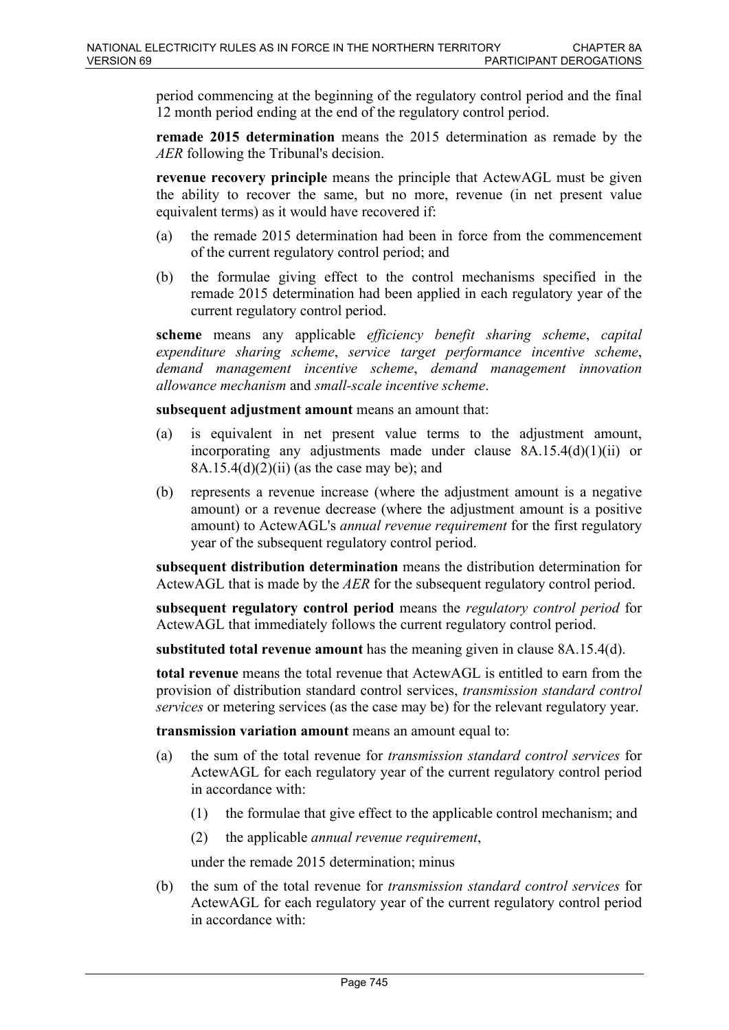period commencing at the beginning of the regulatory control period and the final 12 month period ending at the end of the regulatory control period.

**remade 2015 determination** means the 2015 determination as remade by the *AER* following the Tribunal's decision.

**revenue recovery principle** means the principle that ActewAGL must be given the ability to recover the same, but no more, revenue (in net present value equivalent terms) as it would have recovered if:

- (a) the remade 2015 determination had been in force from the commencement of the current regulatory control period; and
- (b) the formulae giving effect to the control mechanisms specified in the remade 2015 determination had been applied in each regulatory year of the current regulatory control period.

**scheme** means any applicable *efficiency benefit sharing scheme*, *capital expenditure sharing scheme*, *service target performance incentive scheme*, *demand management incentive scheme*, *demand management innovation allowance mechanism* and *small-scale incentive scheme*.

**subsequent adjustment amount** means an amount that:

- (a) is equivalent in net present value terms to the adjustment amount, incorporating any adjustments made under clause 8A.15.4(d)(1)(ii) or 8A.15.4(d)(2)(ii) (as the case may be); and
- (b) represents a revenue increase (where the adjustment amount is a negative amount) or a revenue decrease (where the adjustment amount is a positive amount) to ActewAGL's *annual revenue requirement* for the first regulatory year of the subsequent regulatory control period.

**subsequent distribution determination** means the distribution determination for ActewAGL that is made by the *AER* for the subsequent regulatory control period.

**subsequent regulatory control period** means the *regulatory control period* for ActewAGL that immediately follows the current regulatory control period.

**substituted total revenue amount** has the meaning given in clause 8A.15.4(d).

**total revenue** means the total revenue that ActewAGL is entitled to earn from the provision of distribution standard control services, *transmission standard control services* or metering services (as the case may be) for the relevant regulatory year.

**transmission variation amount** means an amount equal to:

- (a) the sum of the total revenue for *transmission standard control services* for ActewAGL for each regulatory year of the current regulatory control period in accordance with:
	- (1) the formulae that give effect to the applicable control mechanism; and
	- (2) the applicable *annual revenue requirement*,

under the remade 2015 determination; minus

(b) the sum of the total revenue for *transmission standard control services* for ActewAGL for each regulatory year of the current regulatory control period in accordance with: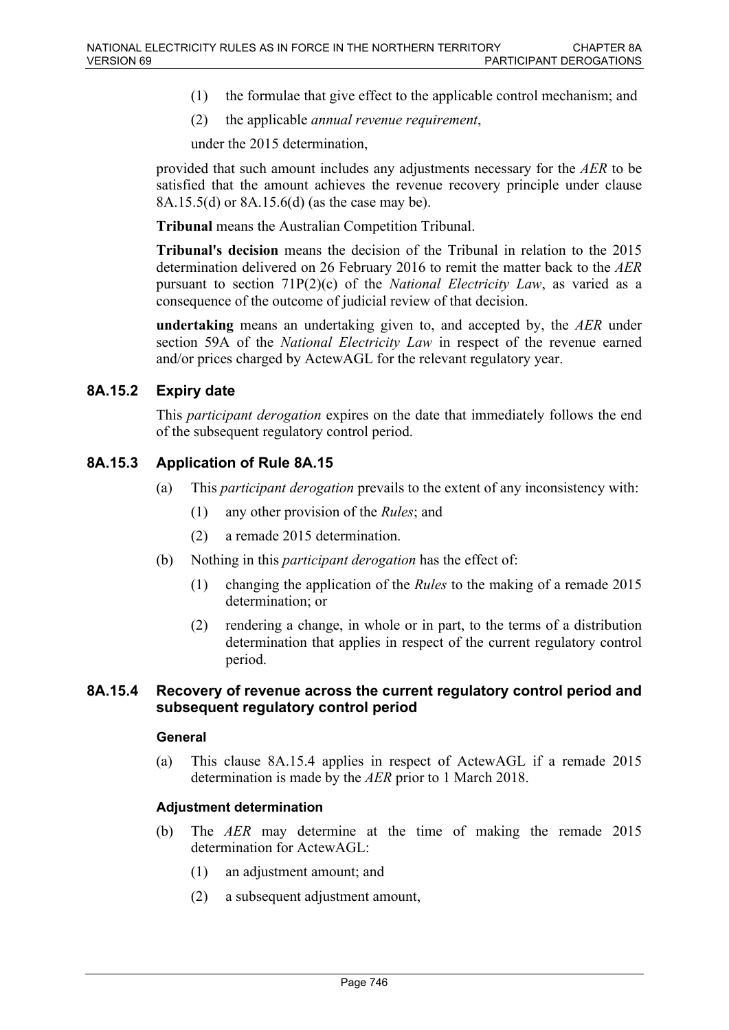- (1) the formulae that give effect to the applicable control mechanism; and
- (2) the applicable *annual revenue requirement*,

under the 2015 determination,

provided that such amount includes any adjustments necessary for the *AER* to be satisfied that the amount achieves the revenue recovery principle under clause 8A.15.5(d) or 8A.15.6(d) (as the case may be).

**Tribunal** means the Australian Competition Tribunal.

**Tribunal's decision** means the decision of the Tribunal in relation to the 2015 determination delivered on 26 February 2016 to remit the matter back to the *AER* pursuant to section 71P(2)(c) of the *National Electricity Law*, as varied as a consequence of the outcome of judicial review of that decision.

**undertaking** means an undertaking given to, and accepted by, the *AER* under section 59A of the *National Electricity Law* in respect of the revenue earned and/or prices charged by ActewAGL for the relevant regulatory year.

### **8A.15.2 Expiry date**

This *participant derogation* expires on the date that immediately follows the end of the subsequent regulatory control period.

### **8A.15.3 Application of Rule 8A.15**

- (a) This *participant derogation* prevails to the extent of any inconsistency with:
	- (1) any other provision of the *Rules*; and
	- (2) a remade 2015 determination.
- (b) Nothing in this *participant derogation* has the effect of:
	- (1) changing the application of the *Rules* to the making of a remade 2015 determination; or
	- (2) rendering a change, in whole or in part, to the terms of a distribution determination that applies in respect of the current regulatory control period.

### **8A.15.4 Recovery of revenue across the current regulatory control period and subsequent regulatory control period**

#### **General**

(a) This clause 8A.15.4 applies in respect of ActewAGL if a remade 2015 determination is made by the *AER* prior to 1 March 2018.

### **Adjustment determination**

- (b) The *AER* may determine at the time of making the remade 2015 determination for ActewAGL:
	- (1) an adjustment amount; and
	- (2) a subsequent adjustment amount,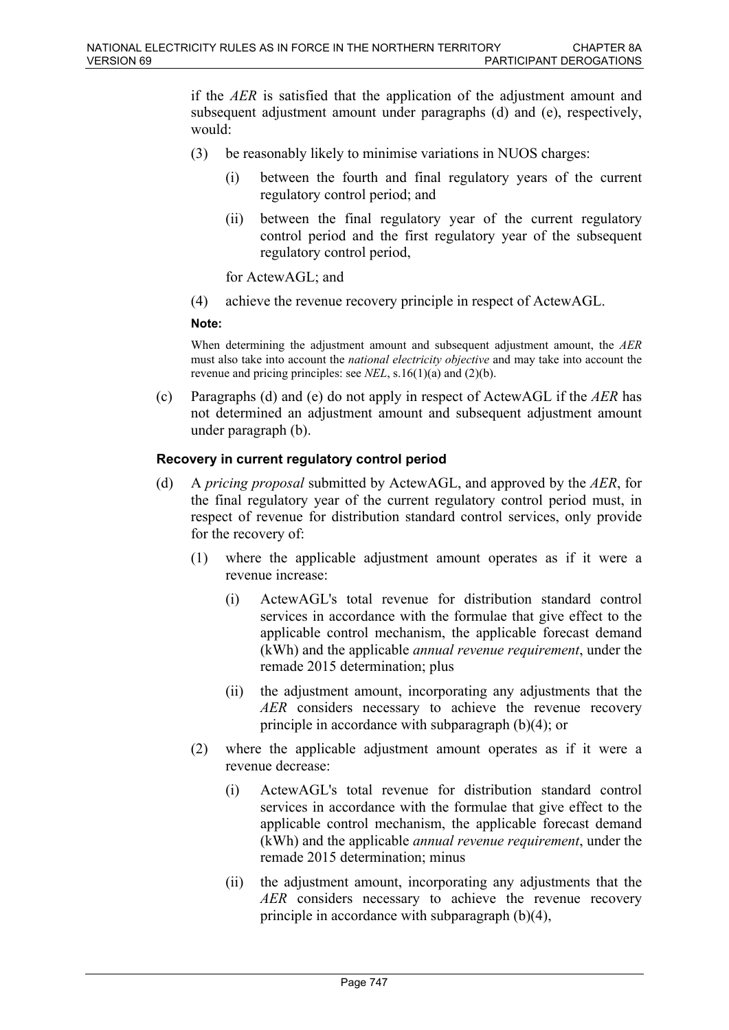if the *AER* is satisfied that the application of the adjustment amount and subsequent adjustment amount under paragraphs (d) and (e), respectively, would:

- (3) be reasonably likely to minimise variations in NUOS charges:
	- (i) between the fourth and final regulatory years of the current regulatory control period; and
	- (ii) between the final regulatory year of the current regulatory control period and the first regulatory year of the subsequent regulatory control period,

for ActewAGL; and

(4) achieve the revenue recovery principle in respect of ActewAGL.

#### **Note:**

When determining the adjustment amount and subsequent adjustment amount, the *AER*  must also take into account the *national electricity objective* and may take into account the revenue and pricing principles: see *NEL*, s.16(1)(a) and (2)(b).

(c) Paragraphs (d) and (e) do not apply in respect of ActewAGL if the *AER* has not determined an adjustment amount and subsequent adjustment amount under paragraph (b).

### **Recovery in current regulatory control period**

- (d) A *pricing proposal* submitted by ActewAGL, and approved by the *AER*, for the final regulatory year of the current regulatory control period must, in respect of revenue for distribution standard control services, only provide for the recovery of:
	- (1) where the applicable adjustment amount operates as if it were a revenue increase:
		- (i) ActewAGL's total revenue for distribution standard control services in accordance with the formulae that give effect to the applicable control mechanism, the applicable forecast demand (kWh) and the applicable *annual revenue requirement*, under the remade 2015 determination; plus
		- (ii) the adjustment amount, incorporating any adjustments that the *AER* considers necessary to achieve the revenue recovery principle in accordance with subparagraph (b)(4); or
	- (2) where the applicable adjustment amount operates as if it were a revenue decrease:
		- (i) ActewAGL's total revenue for distribution standard control services in accordance with the formulae that give effect to the applicable control mechanism, the applicable forecast demand (kWh) and the applicable *annual revenue requirement*, under the remade 2015 determination; minus
		- (ii) the adjustment amount, incorporating any adjustments that the *AER* considers necessary to achieve the revenue recovery principle in accordance with subparagraph (b)(4),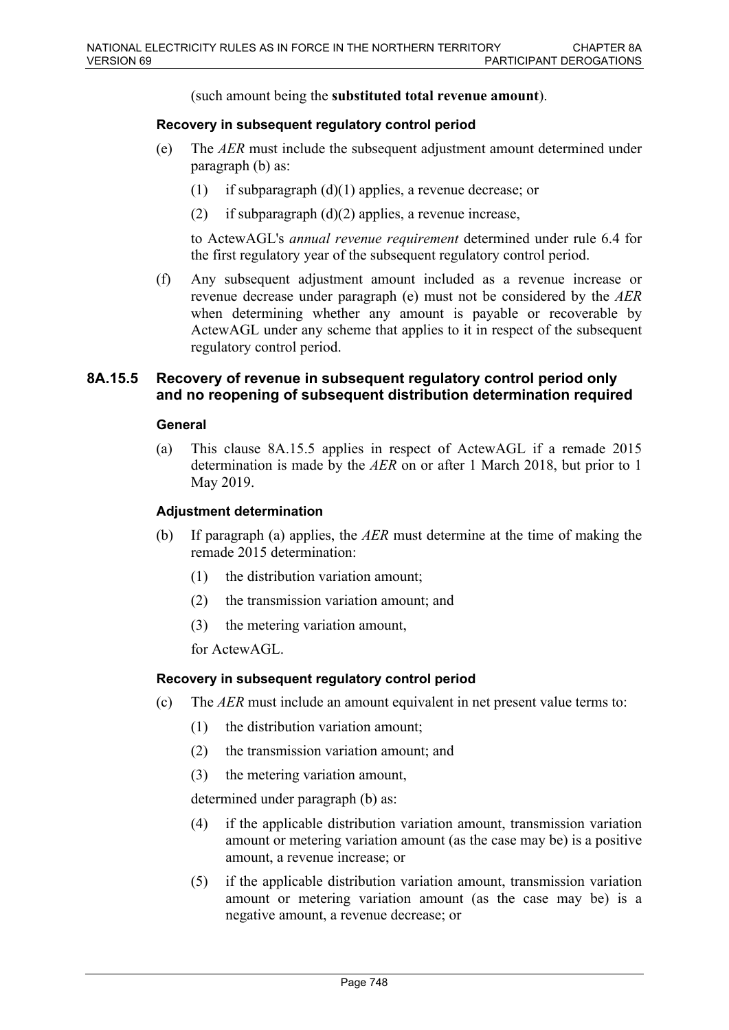(such amount being the **substituted total revenue amount**).

#### **Recovery in subsequent regulatory control period**

- (e) The *AER* must include the subsequent adjustment amount determined under paragraph (b) as:
	- (1) if subparagraph (d)(1) applies, a revenue decrease; or
	- (2) if subparagraph  $(d)(2)$  applies, a revenue increase,

to ActewAGL's *annual revenue requirement* determined under rule 6.4 for the first regulatory year of the subsequent regulatory control period.

(f) Any subsequent adjustment amount included as a revenue increase or revenue decrease under paragraph (e) must not be considered by the *AER* when determining whether any amount is payable or recoverable by ActewAGL under any scheme that applies to it in respect of the subsequent regulatory control period.

### **8A.15.5 Recovery of revenue in subsequent regulatory control period only and no reopening of subsequent distribution determination required**

### **General**

(a) This clause 8A.15.5 applies in respect of ActewAGL if a remade 2015 determination is made by the *AER* on or after 1 March 2018, but prior to 1 May 2019.

#### **Adjustment determination**

- (b) If paragraph (a) applies, the *AER* must determine at the time of making the remade 2015 determination:
	- (1) the distribution variation amount;
	- (2) the transmission variation amount; and
	- (3) the metering variation amount,

for ActewAGL.

### **Recovery in subsequent regulatory control period**

- (c) The *AER* must include an amount equivalent in net present value terms to:
	- (1) the distribution variation amount;
	- (2) the transmission variation amount; and
	- (3) the metering variation amount,

determined under paragraph (b) as:

- (4) if the applicable distribution variation amount, transmission variation amount or metering variation amount (as the case may be) is a positive amount, a revenue increase; or
- (5) if the applicable distribution variation amount, transmission variation amount or metering variation amount (as the case may be) is a negative amount, a revenue decrease; or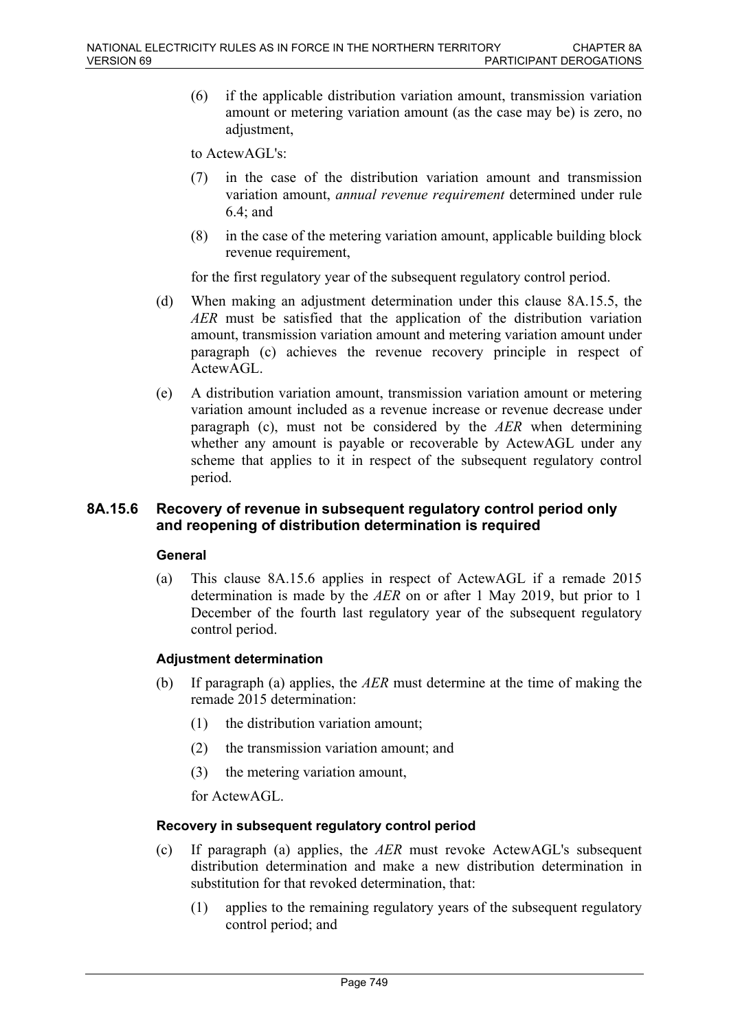(6) if the applicable distribution variation amount, transmission variation amount or metering variation amount (as the case may be) is zero, no adjustment.

to ActewAGL's:

- (7) in the case of the distribution variation amount and transmission variation amount, *annual revenue requirement* determined under rule 6.4; and
- (8) in the case of the metering variation amount, applicable building block revenue requirement,

for the first regulatory year of the subsequent regulatory control period.

- (d) When making an adjustment determination under this clause 8A.15.5, the *AER* must be satisfied that the application of the distribution variation amount, transmission variation amount and metering variation amount under paragraph (c) achieves the revenue recovery principle in respect of ActewAGL.
- (e) A distribution variation amount, transmission variation amount or metering variation amount included as a revenue increase or revenue decrease under paragraph (c), must not be considered by the *AER* when determining whether any amount is payable or recoverable by ActewAGL under any scheme that applies to it in respect of the subsequent regulatory control period.

### **8A.15.6 Recovery of revenue in subsequent regulatory control period only and reopening of distribution determination is required**

### **General**

(a) This clause 8A.15.6 applies in respect of ActewAGL if a remade 2015 determination is made by the *AER* on or after 1 May 2019, but prior to 1 December of the fourth last regulatory year of the subsequent regulatory control period.

### **Adjustment determination**

- (b) If paragraph (a) applies, the *AER* must determine at the time of making the remade 2015 determination:
	- (1) the distribution variation amount;
	- (2) the transmission variation amount; and
	- (3) the metering variation amount,

for ActewAGL.

### **Recovery in subsequent regulatory control period**

- (c) If paragraph (a) applies, the *AER* must revoke ActewAGL's subsequent distribution determination and make a new distribution determination in substitution for that revoked determination, that:
	- (1) applies to the remaining regulatory years of the subsequent regulatory control period; and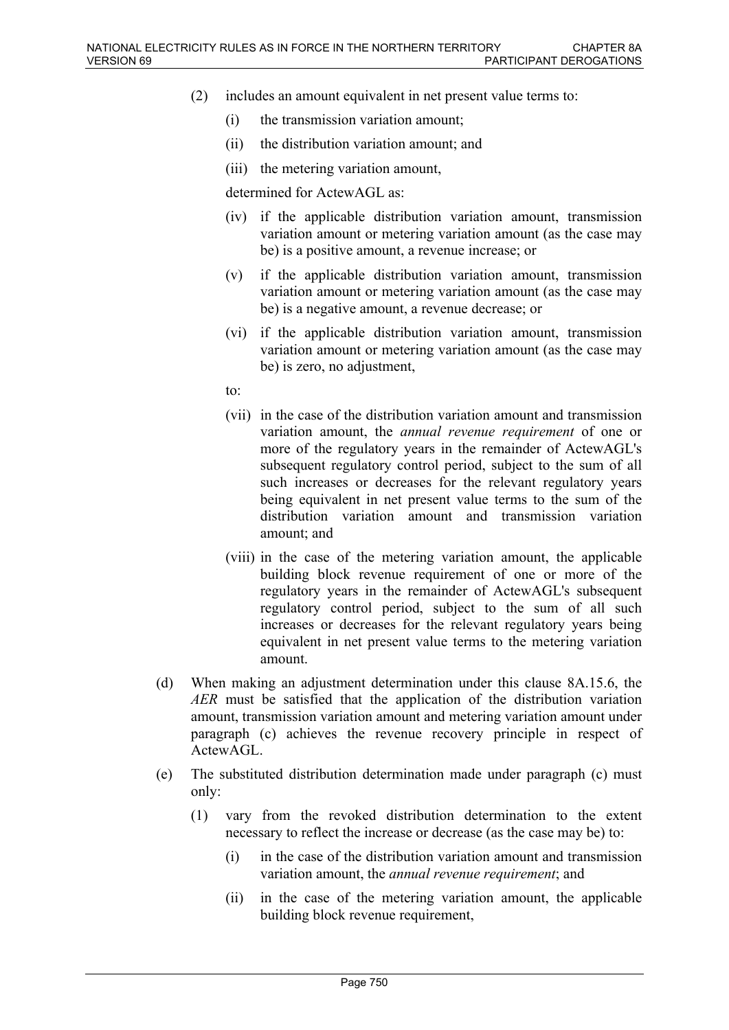- (2) includes an amount equivalent in net present value terms to:
	- (i) the transmission variation amount;
	- (ii) the distribution variation amount; and
	- (iii) the metering variation amount,

determined for ActewAGL as:

- (iv) if the applicable distribution variation amount, transmission variation amount or metering variation amount (as the case may be) is a positive amount, a revenue increase; or
- (v) if the applicable distribution variation amount, transmission variation amount or metering variation amount (as the case may be) is a negative amount, a revenue decrease; or
- (vi) if the applicable distribution variation amount, transmission variation amount or metering variation amount (as the case may be) is zero, no adjustment,

to:

- (vii) in the case of the distribution variation amount and transmission variation amount, the *annual revenue requirement* of one or more of the regulatory years in the remainder of ActewAGL's subsequent regulatory control period, subject to the sum of all such increases or decreases for the relevant regulatory years being equivalent in net present value terms to the sum of the distribution variation amount and transmission variation amount; and
- (viii) in the case of the metering variation amount, the applicable building block revenue requirement of one or more of the regulatory years in the remainder of ActewAGL's subsequent regulatory control period, subject to the sum of all such increases or decreases for the relevant regulatory years being equivalent in net present value terms to the metering variation amount.
- (d) When making an adjustment determination under this clause 8A.15.6, the *AER* must be satisfied that the application of the distribution variation amount, transmission variation amount and metering variation amount under paragraph (c) achieves the revenue recovery principle in respect of ActewAGL.
- (e) The substituted distribution determination made under paragraph (c) must only:
	- (1) vary from the revoked distribution determination to the extent necessary to reflect the increase or decrease (as the case may be) to:
		- (i) in the case of the distribution variation amount and transmission variation amount, the *annual revenue requirement*; and
		- (ii) in the case of the metering variation amount, the applicable building block revenue requirement,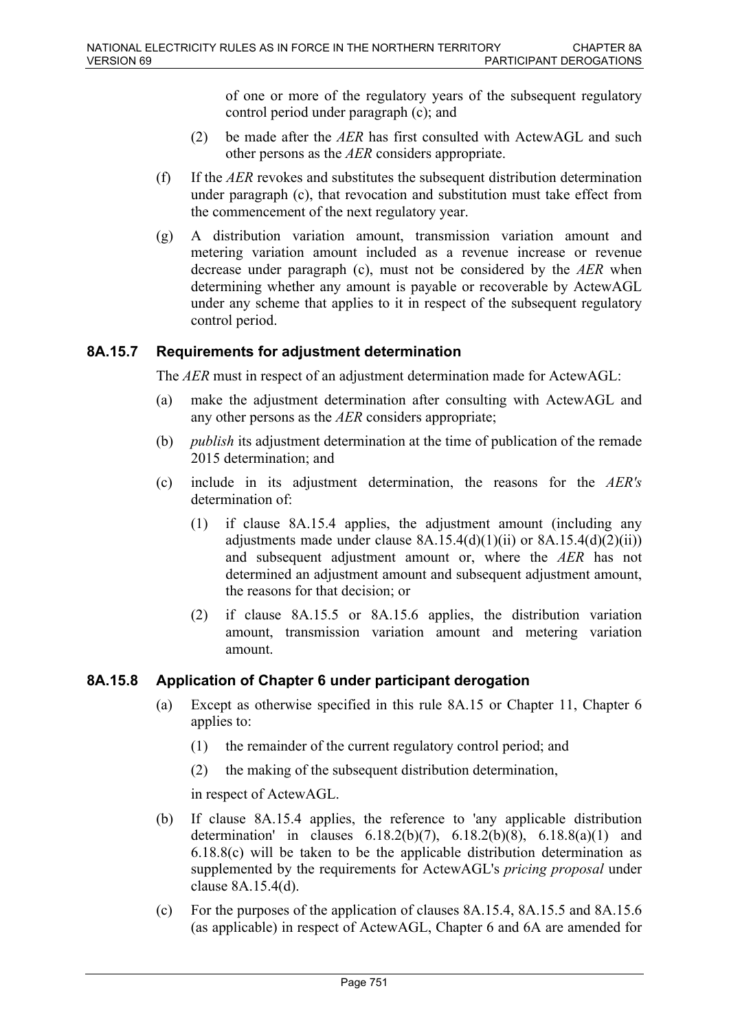of one or more of the regulatory years of the subsequent regulatory control period under paragraph (c); and

- (2) be made after the *AER* has first consulted with ActewAGL and such other persons as the *AER* considers appropriate.
- (f) If the *AER* revokes and substitutes the subsequent distribution determination under paragraph (c), that revocation and substitution must take effect from the commencement of the next regulatory year.
- (g) A distribution variation amount, transmission variation amount and metering variation amount included as a revenue increase or revenue decrease under paragraph (c), must not be considered by the *AER* when determining whether any amount is payable or recoverable by ActewAGL under any scheme that applies to it in respect of the subsequent regulatory control period.

### **8A.15.7 Requirements for adjustment determination**

The *AER* must in respect of an adjustment determination made for ActewAGL:

- (a) make the adjustment determination after consulting with ActewAGL and any other persons as the *AER* considers appropriate;
- (b) *publish* its adjustment determination at the time of publication of the remade 2015 determination; and
- (c) include in its adjustment determination, the reasons for the *AER's* determination of:
	- (1) if clause 8A.15.4 applies, the adjustment amount (including any adjustments made under clause  $8A.15.4(d)(1)(ii)$  or  $8A.15.4(d)(2)(ii)$ ) and subsequent adjustment amount or, where the *AER* has not determined an adjustment amount and subsequent adjustment amount, the reasons for that decision; or
	- (2) if clause 8A.15.5 or 8A.15.6 applies, the distribution variation amount, transmission variation amount and metering variation amount.

### **8A.15.8 Application of Chapter 6 under participant derogation**

- (a) Except as otherwise specified in this rule 8A.15 or Chapter 11, Chapter 6 applies to:
	- (1) the remainder of the current regulatory control period; and
	- (2) the making of the subsequent distribution determination,

in respect of ActewAGL.

- (b) If clause 8A.15.4 applies, the reference to 'any applicable distribution determination' in clauses  $6.18.2(b)(7)$ ,  $6.18.2(b)(8)$ ,  $6.18.8(a)(1)$  and 6.18.8(c) will be taken to be the applicable distribution determination as supplemented by the requirements for ActewAGL's *pricing proposal* under clause 8A.15.4(d).
- (c) For the purposes of the application of clauses 8A.15.4, 8A.15.5 and 8A.15.6 (as applicable) in respect of ActewAGL, Chapter 6 and 6A are amended for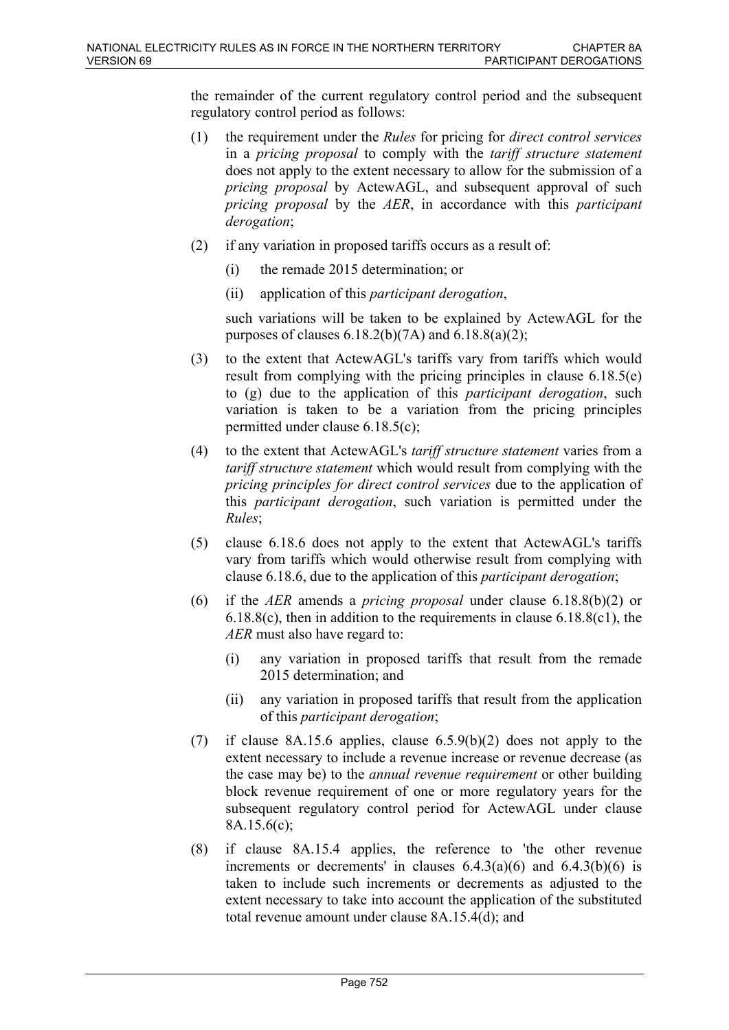the remainder of the current regulatory control period and the subsequent regulatory control period as follows:

- (1) the requirement under the *Rules* for pricing for *direct control services* in a *pricing proposal* to comply with the *tariff structure statement* does not apply to the extent necessary to allow for the submission of a *pricing proposal* by ActewAGL, and subsequent approval of such *pricing proposal* by the *AER*, in accordance with this *participant derogation*;
- (2) if any variation in proposed tariffs occurs as a result of:
	- (i) the remade 2015 determination; or
	- (ii) application of this *participant derogation*,

such variations will be taken to be explained by ActewAGL for the purposes of clauses  $6.18.2(b)(7A)$  and  $6.18.8(a)(2)$ ;

- (3) to the extent that ActewAGL's tariffs vary from tariffs which would result from complying with the pricing principles in clause 6.18.5(e) to (g) due to the application of this *participant derogation*, such variation is taken to be a variation from the pricing principles permitted under clause 6.18.5(c);
- (4) to the extent that ActewAGL's *tariff structure statement* varies from a *tariff structure statement* which would result from complying with the *pricing principles for direct control services* due to the application of this *participant derogation*, such variation is permitted under the *Rules*;
- (5) clause 6.18.6 does not apply to the extent that ActewAGL's tariffs vary from tariffs which would otherwise result from complying with clause 6.18.6, due to the application of this *participant derogation*;
- (6) if the *AER* amends a *pricing proposal* under clause 6.18.8(b)(2) or 6.18.8(c), then in addition to the requirements in clause 6.18.8(c1), the *AER* must also have regard to:
	- (i) any variation in proposed tariffs that result from the remade 2015 determination; and
	- (ii) any variation in proposed tariffs that result from the application of this *participant derogation*;
- (7) if clause 8A.15.6 applies, clause 6.5.9(b)(2) does not apply to the extent necessary to include a revenue increase or revenue decrease (as the case may be) to the *annual revenue requirement* or other building block revenue requirement of one or more regulatory years for the subsequent regulatory control period for ActewAGL under clause 8A.15.6(c);
- (8) if clause 8A.15.4 applies, the reference to 'the other revenue increments or decrements' in clauses  $6.4.3(a)(6)$  and  $6.4.3(b)(6)$  is taken to include such increments or decrements as adjusted to the extent necessary to take into account the application of the substituted total revenue amount under clause 8A.15.4(d); and